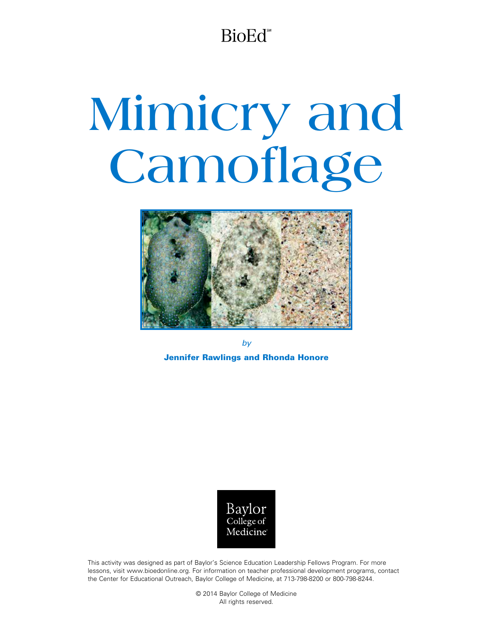BioEd<sup>®</sup>

# **Mimicry and Camoflage**



*by* Jennifer Rawlings and Rhonda Honore



This activity was designed as part of Baylor's Science Education Leadership Fellows Program. For more lessons, visit www.bioedonline.org. For information on teacher professional development programs, contact the Center for Educational Outreach, Baylor College of Medicine, at 713-798-8200 or 800-798-8244.

> © 2014 Baylor College of Medicine All rights reserved.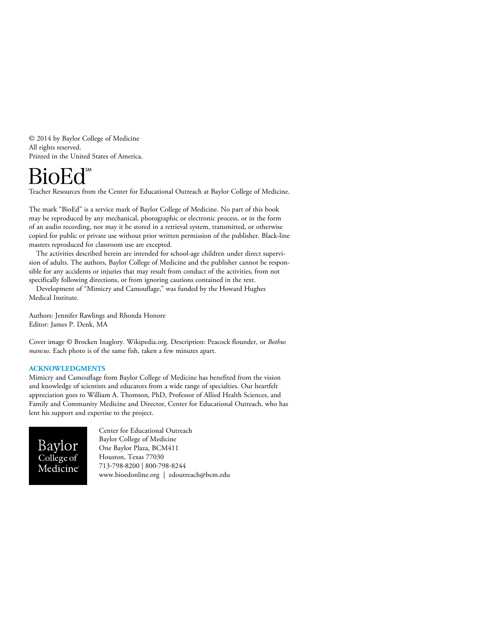© 2014 by Baylor College of Medicine All rights reserved. Printed in the United States of America.

Teacher Resources from the Center for Educational Outreach at Baylor College of Medicine.

The mark "BioEd" is a service mark of Baylor College of Medicine. No part of this book may be reproduced by any mechanical, photographic or electronic process, or in the form of an audio recording, nor may it be stored in a retrieval system, transmitted, or otherwise copied for public or private use without prior written permission of the publisher. Black-line masters reproduced for classroom use are excepted.

The activities described herein are intended for school-age children under direct supervision of adults. The authors, Baylor College of Medicine and the publisher cannot be responsible for any accidents or injuries that may result from conduct of the activities, from not specifically following directions, or from ignoring cautions contained in the text.

Development of "Mimicry and Camouflage," was funded by the Howard Hughes Medical Institute.

Authors: Jennifer Rawlings and Rhonda Honore Editor: James P. Denk, MA

Cover image © Brocken Inaglory. Wikipedia.org. Description: Peacock flounder, or *Bothus mancus*. Each photo is of the same fish, taken a few minutes apart.

#### **ACKNOWLEDGMENTS**

Mimicry and Camouflage from Baylor College of Medicine has benefited from the vision and knowledge of scientists and educators from a wide range of specialties. Our heartfelt appreciation goes to William A. Thomson, PhD, Professor of Allied Health Sciences, and Family and Community Medicine and Director, Center for Educational Outreach, who has lent his support and expertise to the project.



Center for Educational Outreach Baylor College of Medicine One Baylor Plaza, BCM411 Houston, Texas 77030 713-798-8200 | 800-798-8244 <www.bioedonline.org>| [edoutreach@bcm.edu](mailto:edoutreach@bcm.edu)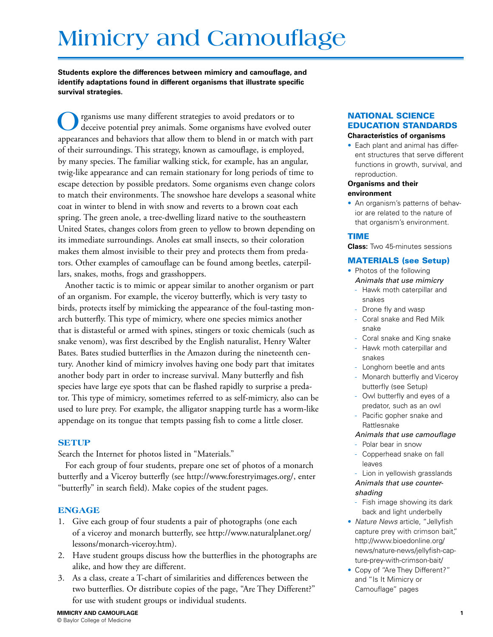## **Mimicry and Camouflage**

**Students explore the differences between mimicry and camouflage, and identify adaptations found in different organisms that illustrate specific survival strategies.** 

**O**rganisms use many different strategies to avoid predators or to deceive potential prey animals. Some organisms have evolved outer appearances and behaviors that allow them to blend in or match with part of their surroundings. This strategy, known as camouflage, is employed, by many species. The familiar walking stick, for example, has an angular, twig-like appearance and can remain stationary for long periods of time to escape detection by possible predators. Some organisms even change colors to match their environments. The snowshoe hare develops a seasonal white coat in winter to blend in with snow and reverts to a brown coat each spring. The green anole, a tree-dwelling lizard native to the southeastern United States, changes colors from green to yellow to brown depending on its immediate surroundings. Anoles eat small insects, so their coloration makes them almost invisible to their prey and protects them from predators. Other examples of camouflage can be found among beetles, caterpillars, snakes, moths, frogs and grasshoppers.

Another tactic is to mimic or appear similar to another organism or part of an organism. For example, the viceroy butterfly, which is very tasty to birds, protects itself by mimicking the appearance of the foul-tasting monarch butterfly. This type of mimicry, where one species mimics another that is distasteful or armed with spines, stingers or toxic chemicals (such as snake venom), was first described by the English naturalist, Henry Walter Bates. Bates studied butterflies in the Amazon during the nineteenth century. Another kind of mimicry involves having one body part that imitates another body part in order to increase survival. Many butterfly and fish species have large eye spots that can be flashed rapidly to surprise a predator. This type of mimicry, sometimes referred to as self-mimicry, also can be used to lure prey. For example, the alligator snapping turtle has a worm-like appendage on its tongue that tempts passing fish to come a little closer.

#### **SETUP**

Search the Internet for photos listed in "Materials."

For each group of four students, prepare one set of photos of a monarch butterfly and a Viceroy butterfly (see http://www.forestryimages.org/, enter "butterfly" in search field). Make copies of the student pages.

#### **ENGAGE**

- 1. Give each group of four students a pair of photographs (one each of a viceroy and monarch butterfly, see http://www.naturalplanet.org/ lessons/monarch-viceroy.htm).
- 2. Have student groups discuss how the butterflies in the photographs are alike, and how they are different.
- 3. As a class, create a T-chart of similarities and differences between the two butterflies. Or distribute copies of the page, "Are They Different?" for use with student groups or individual students.

### NATIONAL SCIENCE EDUCATION STANDARDS

#### **Characteristics of organisms**

• Each plant and animal has different structures that serve different functions in growth, survival, and reproduction.

#### **Organisms and their environment**

• An organism's patterns of behavior are related to the nature of that organism's environment.

#### TIME

**Class:** Two 45-minutes sessions

#### MATERIALS (see Setup)

- Photos of the following *Animals that use mimicry* 
	- Hawk moth caterpillar and snakes
	- Drone fly and wasp
	- Coral snake and Red Milk snake
	- Coral snake and King snake
	- Hawk moth caterpillar and snakes
	- Longhorn beetle and ants
	- Monarch butterfly and Viceroy butterfly (see Setup)
	- Owl butterfly and eyes of a predator, such as an owl
	- Pacific gopher snake and Rattlesnake

#### *Animals that use camouflage*

- Polar bear in snow
- Copperhead snake on fall leaves

- Lion in yellowish grasslands *Animals that use countershading* 

- Fish image showing its dark back and light underbelly
- *Nature News* article, "Jellyfish capture prey with crimson bait," http://www.bioedonline.org/ news/nature-news/jellyfish-capture-prey-with-crimson-bait/
- Copy of "Are They Different?" and "Is It Mimicry or Camouflage" pages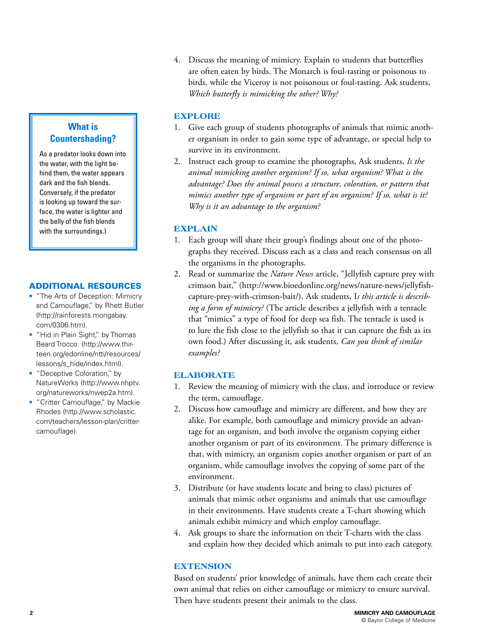4. Discuss the meaning of mimicry. Explain to students that butterflies are often eaten by birds. The Monarch is foul-tasting or poisonous to birds, while the Viceroy is not poisonous or foul-tasting. Ask students, *Which butterfly is mimicking the other? Why?*

#### **EXPLORE**

- 1. Give each group of students photographs of animals that mimic another organism in order to gain some type of advantage, or special help to survive in its environment.
- 2. Instruct each group to examine the photographs, Ask students, *Is the animal mimicking another organism? If so, what organism? What is the advantage? Does the animal possess a structure, coloration, or pattern that mimics another type of organism or part of an organism? If so, what is it? Why is it an advantage to the organism?*

#### **EXPLAIN**

- 1. Each group will share their group's findings about one of the photographs they received. Discuss each as a class and reach consensus on all the organisms in the photographs.
- 2. Read or summarize the *Nature News* article, "Jellyfish capture prey with crimson bait," (http://www.bioedonline.org/news/nature-news/jellyfishcapture-prey-with-crimson-bait/). Ask students, I*s this article is describing a form of mimicry?* (The article describes a jellyfish with a tentacle that "mimics" a type of food for deep sea fish. The tentacle is used is to lure the fish close to the jellyfish so that it can capture the fish as its own food.) After discussing it, ask students, *Can you think of similar examples?*

#### **ELABORATE**

- 1. Review the meaning of mimicry with the class, and introduce or review the term, camouflage.
- 2. Discuss how camouflage and mimicry are different, and how they are alike. For example, both camouflage and mimicry provide an advantage for an organism, and both involve the organism copying either another organism or part of its environment. The primary difference is that, with mimicry, an organism copies another organism or part of an organism, while camouflage involves the copying of some part of the environment.
- 3. Distribute (or have students locate and bring to class) pictures of animals that mimic other organisms and animals that use camouflage in their environments. Have students create a T-chart showing which animals exhibit mimicry and which employ camouflage.
- 4. Ask groups to share the information on their T-charts with the class and explain how they decided which animals to put into each category.

#### **EXTENSION**

Based on students' prior knowledge of animals, have them each create their own animal that relies on either camouflage or mimicry to ensure survival. Then have students present their animals to the class.

### **What is Countershading?**

As a predator looks down into the water, with the light behind them, the water appears dark and the fish blends. Conversely, if the predator is looking up toward the surface, the water is lighter and the belly of the fish blends with the surroundings.)

#### ADDITIONAL RESOURCES

- "The Arts of Deception: Mimicry and Camouflage," by Rhett Butler (http://rainforests.mongabay. com/0306.htm).
- "Hid in Plain Sight," by Thomas Beard Trocco. (http://www.thirteen.org/edonline/ntti/resources/ lessons/s\_hide/index.html).
- "Deceptive Coloration," by NatureWorks (http://www.nhptv. org/natureworks/nwep2a.htm).
- "Critter Camouflage," by Mackie Rhodes (http://www.scholastic. com/teachers/lesson-plan/crittercamouflage).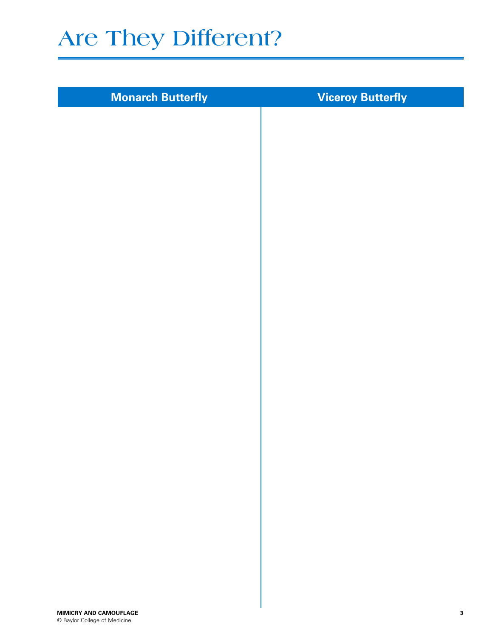# **Are They Different?**

| <b>Monarch Butterfly</b> | <b>Viceroy Butterfly</b> |
|--------------------------|--------------------------|
|                          |                          |
|                          |                          |
|                          |                          |
|                          |                          |
|                          |                          |
|                          |                          |
|                          |                          |
|                          |                          |
|                          |                          |
|                          |                          |
|                          |                          |
|                          |                          |
|                          |                          |
|                          |                          |
|                          |                          |
|                          |                          |
|                          |                          |
|                          |                          |
|                          |                          |
|                          |                          |
|                          |                          |
|                          |                          |
|                          |                          |